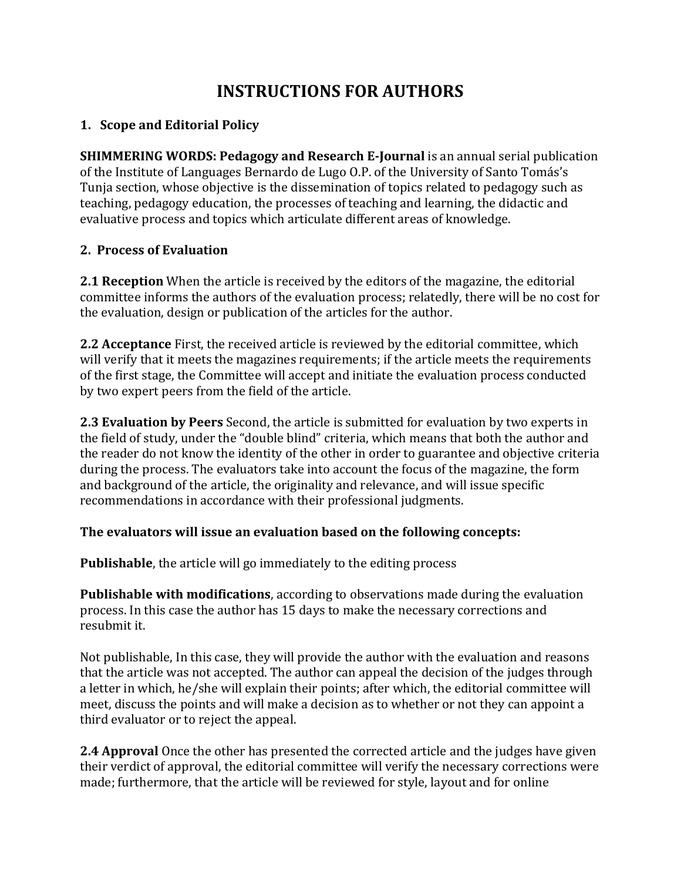# **INSTRUCTIONS FOR AUTHORS**

### **1. Scope and Editorial Policy**

**SHIMMERING WORDS: Pedagogy and Research E-Journal** is an annual serial publication of the Institute of Languages Bernardo de Lugo O.P. of the University of Santo Tomás's Tunja section, whose objective is the dissemination of topics related to pedagogy such as teaching, pedagogy education, the processes of teaching and learning, the didactic and evaluative process and topics which articulate different areas of knowledge.

# **2. Process of Evaluation**

**2.1 Reception** When the article is received by the editors of the magazine, the editorial committee informs the authors of the evaluation process; relatedly, there will be no cost for the evaluation, design or publication of the articles for the author.

**2.2 Acceptance** First, the received article is reviewed by the editorial committee, which will verify that it meets the magazines requirements; if the article meets the requirements of the first stage, the Committee will accept and initiate the evaluation process conducted by two expert peers from the field of the article.

**2.3 Evaluation by Peers** Second, the article is submitted for evaluation by two experts in the field of study, under the "double blind" criteria, which means that both the author and the reader do not know the identity of the other in order to guarantee and objective criteria during the process. The evaluators take into account the focus of the magazine, the form and background of the article, the originality and relevance, and will issue specific recommendations in accordance with their professional judgments.

### **The evaluators will issue an evaluation based on the following concepts:**

**Publishable**, the article will go immediately to the editing process

**Publishable with modifications**, according to observations made during the evaluation process. In this case the author has 15 days to make the necessary corrections and resubmit it.

Not publishable, In this case, they will provide the author with the evaluation and reasons that the article was not accepted. The author can appeal the decision of the judges through a letter in which, he/she will explain their points; after which, the editorial committee will meet, discuss the points and will make a decision as to whether or not they can appoint a third evaluator or to reject the appeal.

**2.4 Approval** Once the other has presented the corrected article and the judges have given their verdict of approval, the editorial committee will verify the necessary corrections were made; furthermore, that the article will be reviewed for style, layout and for online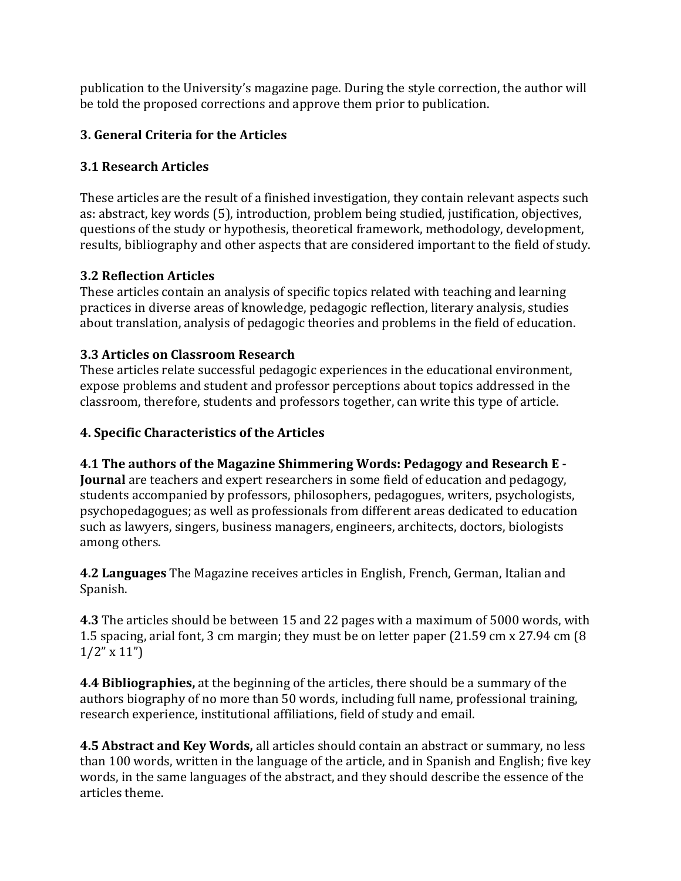publication to the University's magazine page. During the style correction, the author will be told the proposed corrections and approve them prior to publication.

# **3. General Criteria for the Articles**

### **3.1 Research Articles**

These articles are the result of a finished investigation, they contain relevant aspects such as: abstract, key words (5), introduction, problem being studied, justification, objectives, questions of the study or hypothesis, theoretical framework, methodology, development, results, bibliography and other aspects that are considered important to the field of study.

### **3.2 Reflection Articles**

These articles contain an analysis of specific topics related with teaching and learning practices in diverse areas of knowledge, pedagogic reflection, literary analysis, studies about translation, analysis of pedagogic theories and problems in the field of education.

# **3.3 Articles on Classroom Research**

These articles relate successful pedagogic experiences in the educational environment, expose problems and student and professor perceptions about topics addressed in the classroom, therefore, students and professors together, can write this type of article.

### **4. Specific Characteristics of the Articles**

# **4.1 The authors of the Magazine Shimmering Words: Pedagogy and Research E -**

**Journal** are teachers and expert researchers in some field of education and pedagogy, students accompanied by professors, philosophers, pedagogues, writers, psychologists, psychopedagogues; as well as professionals from different areas dedicated to education such as lawyers, singers, business managers, engineers, architects, doctors, biologists among others.

**4.2 Languages** The Magazine receives articles in English, French, German, Italian and Spanish.

**4.3** The articles should be between 15 and 22 pages with a maximum of 5000 words, with 1.5 spacing, arial font, 3 cm margin; they must be on letter paper (21.59 cm x 27.94 cm (8  $1/2$ " x  $11$ ")

**4.4 Bibliographies,** at the beginning of the articles, there should be a summary of the authors biography of no more than 50 words, including full name, professional training, research experience, institutional affiliations, field of study and email.

**4.5 Abstract and Key Words,** all articles should contain an abstract or summary, no less than 100 words, written in the language of the article, and in Spanish and English; five key words, in the same languages of the abstract, and they should describe the essence of the articles theme.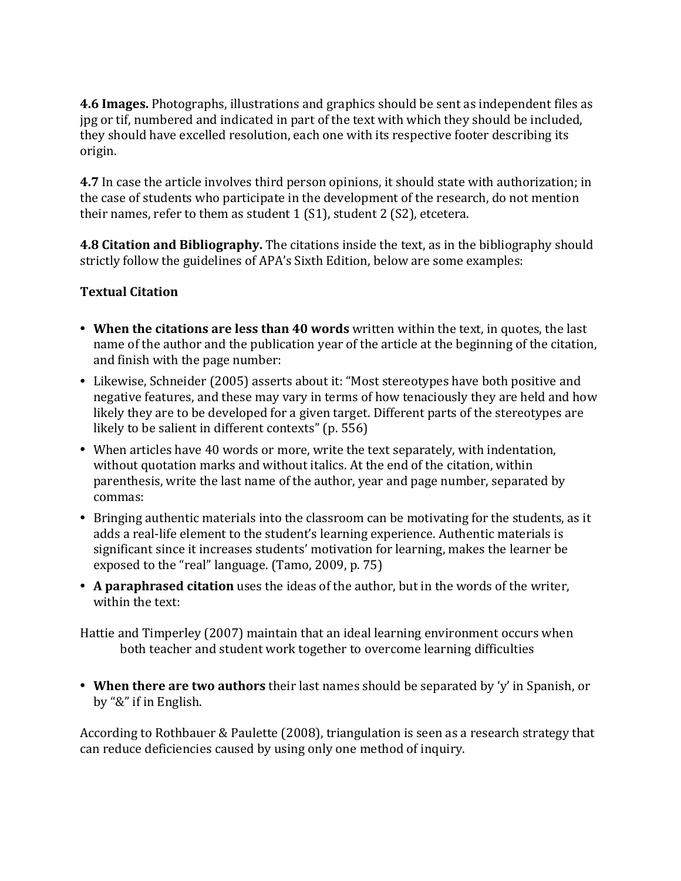**4.6 Images.** Photographs, illustrations and graphics should be sent as independent files as jpg or tif, numbered and indicated in part of the text with which they should be included, they should have excelled resolution, each one with its respective footer describing its origin.

**4.7** In case the article involves third person opinions, it should state with authorization; in the case of students who participate in the development of the research, do not mention their names, refer to them as student 1 (S1), student 2 (S2), etcetera.

**4.8 Citation and Bibliography.** The citations inside the text, as in the bibliography should strictly follow the guidelines of APA's Sixth Edition, below are some examples:

# **Textual Citation**

- **When the citations are less than 40 words** written within the text, in quotes, the last name of the author and the publication year of the article at the beginning of the citation, and finish with the page number:
- Likewise, Schneider (2005) asserts about it: "Most stereotypes have both positive and negative features, and these may vary in terms of how tenaciously they are held and how likely they are to be developed for a given target. Different parts of the stereotypes are likely to be salient in different contexts" (p. 556)
- When articles have 40 words or more, write the text separately, with indentation, without quotation marks and without italics. At the end of the citation, within parenthesis, write the last name of the author, year and page number, separated by commas:
- Bringing authentic materials into the classroom can be motivating for the students, as it adds a real-life element to the student's learning experience. Authentic materials is significant since it increases students' motivation for learning, makes the learner be exposed to the "real" language. (Tamo, 2009, p. 75)
- **A paraphrased citation** uses the ideas of the author, but in the words of the writer, within the text:

Hattie and Timperley (2007) maintain that an ideal learning environment occurs when both teacher and student work together to overcome learning difficulties

• **When there are two authors** their last names should be separated by 'y' in Spanish, or by "&" if in English.

According to Rothbauer & Paulette (2008), triangulation is seen as a research strategy that can reduce deficiencies caused by using only one method of inquiry.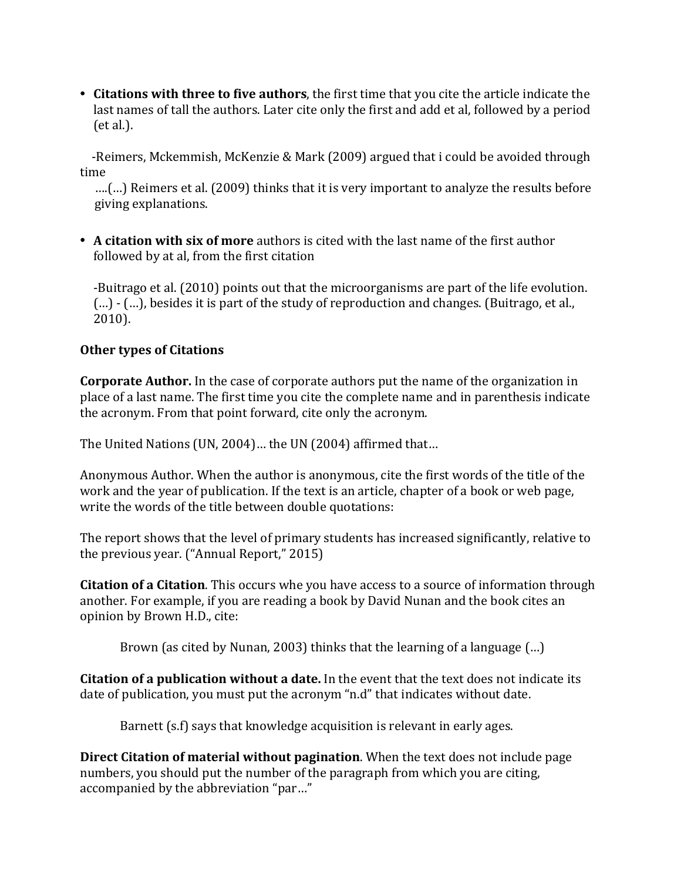• **Citations with three to five authors**, the first time that you cite the article indicate the last names of tall the authors. Later cite only the first and add et al, followed by a period (et al.).

 -Reimers, Mckemmish, McKenzie & Mark (2009) argued that i could be avoided through time

 ….(…) Reimers et al. (2009) thinks that it is very important to analyze the results before giving explanations.

• **A citation with six of more** authors is cited with the last name of the first author followed by at al, from the first citation

-Buitrago et al. (2010) points out that the microorganisms are part of the life evolution. (…) - (…), besides it is part of the study of reproduction and changes. (Buitrago, et al., 2010).

### **Other types of Citations**

**Corporate Author.** In the case of corporate authors put the name of the organization in place of a last name. The first time you cite the complete name and in parenthesis indicate the acronym. From that point forward, cite only the acronym.

The United Nations (UN, 2004)… the UN (2004) affirmed that…

Anonymous Author. When the author is anonymous, cite the first words of the title of the work and the year of publication. If the text is an article, chapter of a book or web page, write the words of the title between double quotations:

The report shows that the level of primary students has increased significantly, relative to the previous year. ("Annual Report," 2015)

**Citation of a Citation**. This occurs whe you have access to a source of information through another. For example, if you are reading a book by David Nunan and the book cites an opinion by Brown H.D., cite:

Brown (as cited by Nunan, 2003) thinks that the learning of a language (…)

**Citation of a publication without a date.** In the event that the text does not indicate its date of publication, you must put the acronym "n.d" that indicates without date.

Barnett (s.f) says that knowledge acquisition is relevant in early ages.

**Direct Citation of material without pagination**. When the text does not include page numbers, you should put the number of the paragraph from which you are citing, accompanied by the abbreviation "par…"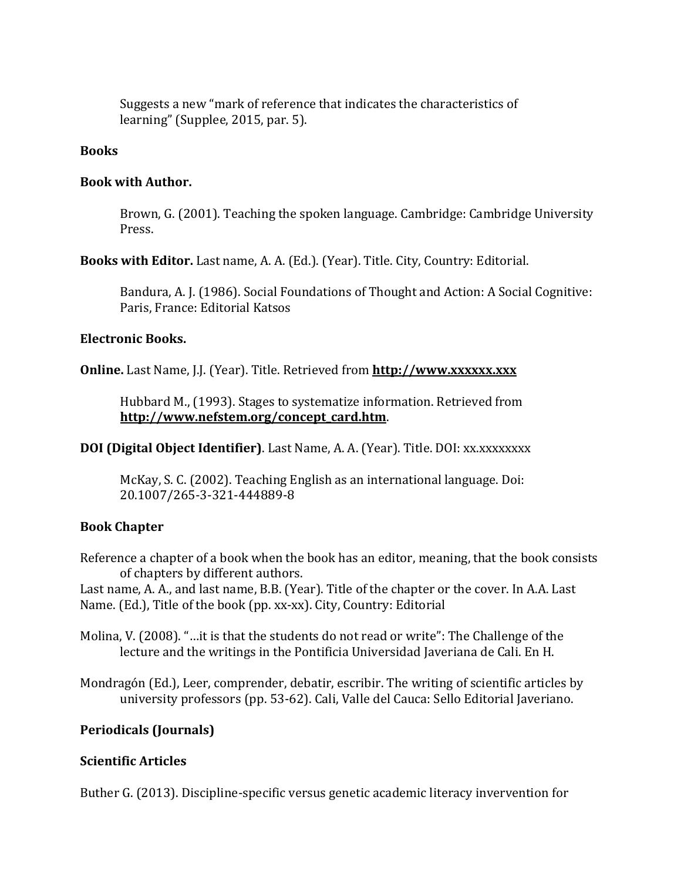Suggests a new "mark of reference that indicates the characteristics of learning" (Supplee, 2015, par. 5).

#### **Books**

#### **Book with Author.**

Brown, G. (2001). Teaching the spoken language. Cambridge: Cambridge University Press.

**Books with Editor.** Last name, A. A. (Ed.). (Year). Title. City, Country: Editorial.

Bandura, A. J. (1986). Social Foundations of Thought and Action: A Social Cognitive: Paris, France: Editorial Katsos

#### **Electronic Books.**

**Online.** Last Name, J.J. (Year). Title. Retrieved from **[http://www.xxxxxx.xxx](http://www.xxxxxx.xxx/)**

Hubbard M., (1993). Stages to systematize information. Retrieved from **[http://www.nefstem.org/concept\\_card.htm](http://www.nefstem.org/concept_card.htm)**.

**DOI (Digital Object Identifier)**. Last Name, A. A. (Year). Title. DOI: xx.xxxxxxxx

McKay, S. C. (2002). Teaching English as an international language. Doi: 20.1007/265-3-321-444889-8

#### **Book Chapter**

Reference a chapter of a book when the book has an editor, meaning, that the book consists of chapters by different authors.

Last name, A. A., and last name, B.B. (Year). Title of the chapter or the cover. In A.A. Last Name. (Ed.), Title of the book (pp. xx-xx). City, Country: Editorial

Molina, V. (2008). "…it is that the students do not read or write": The Challenge of the lecture and the writings in the Pontificia Universidad Javeriana de Cali. En H.

Mondragón (Ed.), Leer, comprender, debatir, escribir. The writing of scientific articles by university professors (pp. 53-62). Cali, Valle del Cauca: Sello Editorial Javeriano.

#### **Periodicals (Journals)**

#### **Scientific Articles**

Buther G. (2013). Discipline-specific versus genetic academic literacy invervention for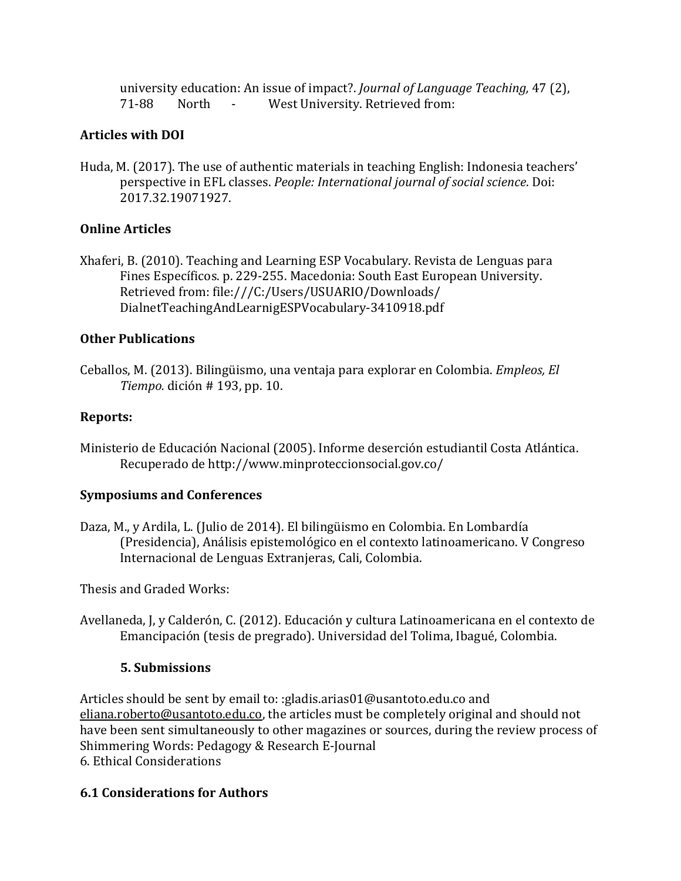university education: An issue of impact?. *Journal of Language Teaching,* 47 (2), 71-88 North - West University. Retrieved from:

### **Articles with DOI**

Huda, M. (2017). The use of authentic materials in teaching English: Indonesia teachers' perspective in EFL classes. *People: International journal of social science*. Doi: 2017.32.19071927.

# **Online Articles**

Xhaferi, B. (2010). Teaching and Learning ESP Vocabulary. Revista de Lenguas para Fines Específicos. p. 229-255. Macedonia: South East European University. Retrieved from: file:///C:/Users/USUARIO/Downloads/ DialnetTeachingAndLearnigESPVocabulary-3410918.pdf

# **Other Publications**

Ceballos, M. (2013). Bilingüismo, una ventaja para explorar en Colombia. *Empleos, El Tiempo.* dición # 193, pp. 10.

# **Reports:**

Ministerio de Educación Nacional (2005). Informe deserción estudiantil Costa Atlántica. Recuperado de http://www.minproteccionsocial.gov.co/

# **Symposiums and Conferences**

Daza, M., y Ardila, L. (Julio de 2014). El bilingüismo en Colombia. En Lombardía (Presidencia), Análisis epistemológico en el contexto latinoamericano. V Congreso Internacional de Lenguas Extranjeras, Cali, Colombia.

Thesis and Graded Works:

Avellaneda, J, y Calderón, C. (2012). Educación y cultura Latinoamericana en el contexto de Emancipación (tesis de pregrado). Universidad del Tolima, Ibagué, Colombia.

# **5. Submissions**

Articles should be sent by email to: :gladis.arias01@usantoto.edu.co and [eliana.roberto@usantoto.edu.co,](mailto:eliana.roberto@usantoto.edu.co) the articles must be completely original and should not have been sent simultaneously to other magazines or sources, during the review process of Shimmering Words: Pedagogy & Research E-Journal 6. Ethical Considerations

# **6.1 Considerations for Authors**